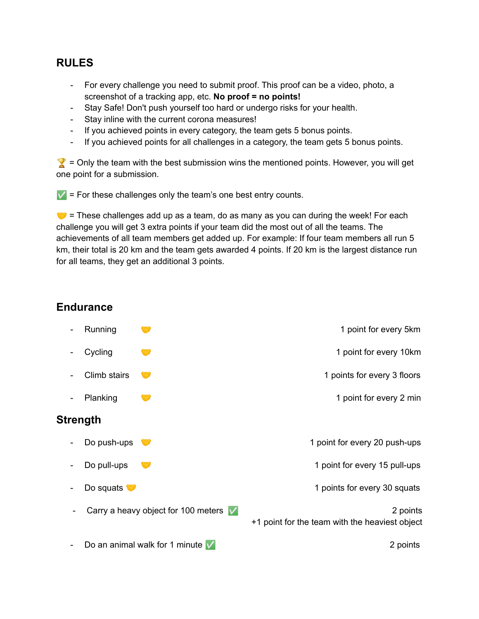## **RULES**

- For every challenge you need to submit proof. This proof can be a video, photo, a screenshot of a tracking app, etc. **No proof = no points!**
- Stay Safe! Don't push yourself too hard or undergo risks for your health.
- Stay inline with the current corona measures!
- If you achieved points in every category, the team gets 5 bonus points.
- If you achieved points for all challenges in a category, the team gets 5 bonus points.

 $\gamma$  = Only the team with the best submission wins the mentioned points. However, you will get one point for a submission.

 $\mathbf{V}$  = For these challenges only the team's one best entry counts.

 $\bullet$  = These challenges add up as a team, do as many as you can during the week! For each challenge you will get 3 extra points if your team did the most out of all the teams. The achievements of all team members get added up. For example: If four team members all run 5 km, their total is 20 km and the team gets awarded 4 points. If 20 km is the largest distance run for all teams, they get an additional 3 points.

## **Endurance**